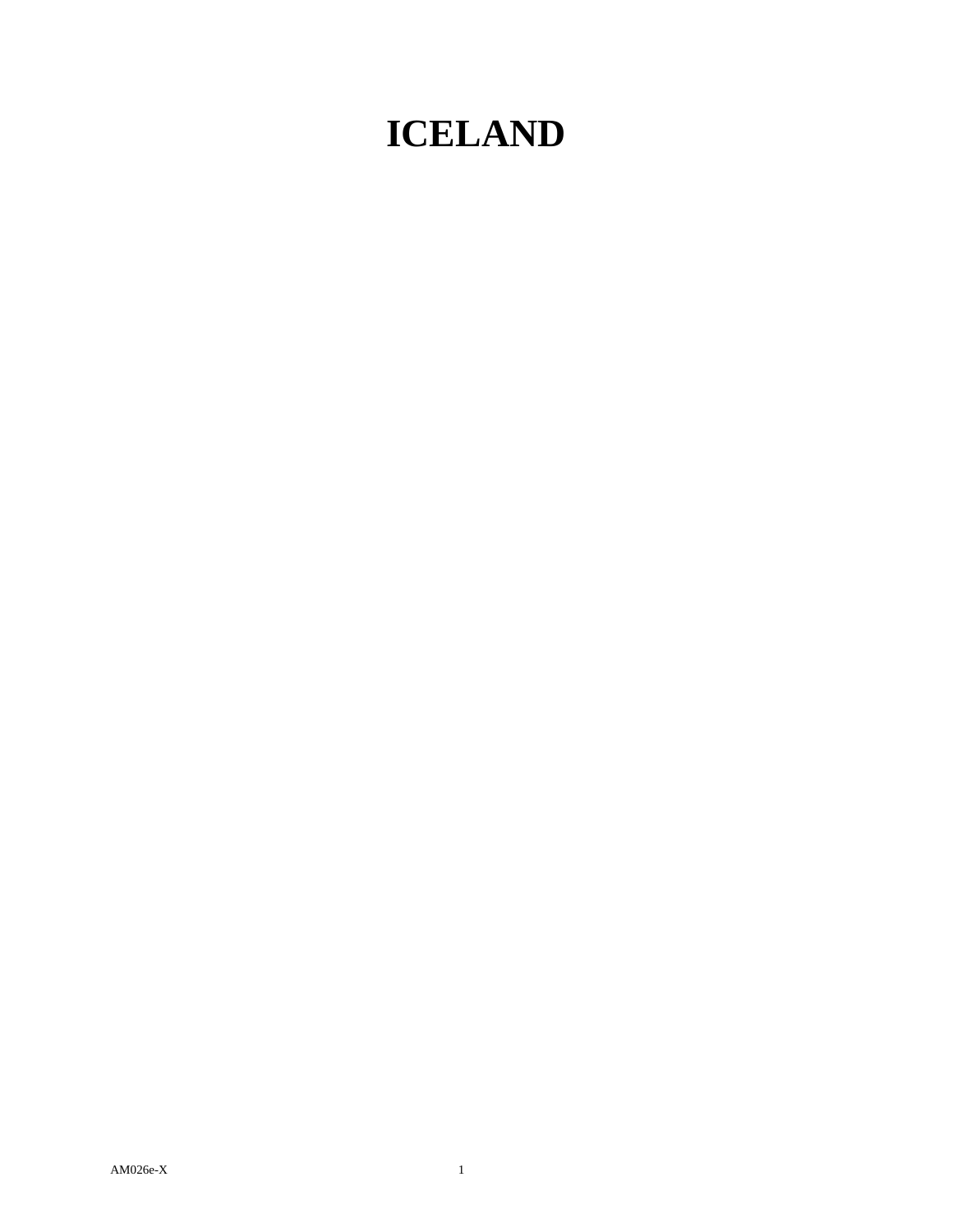## **ICELAND**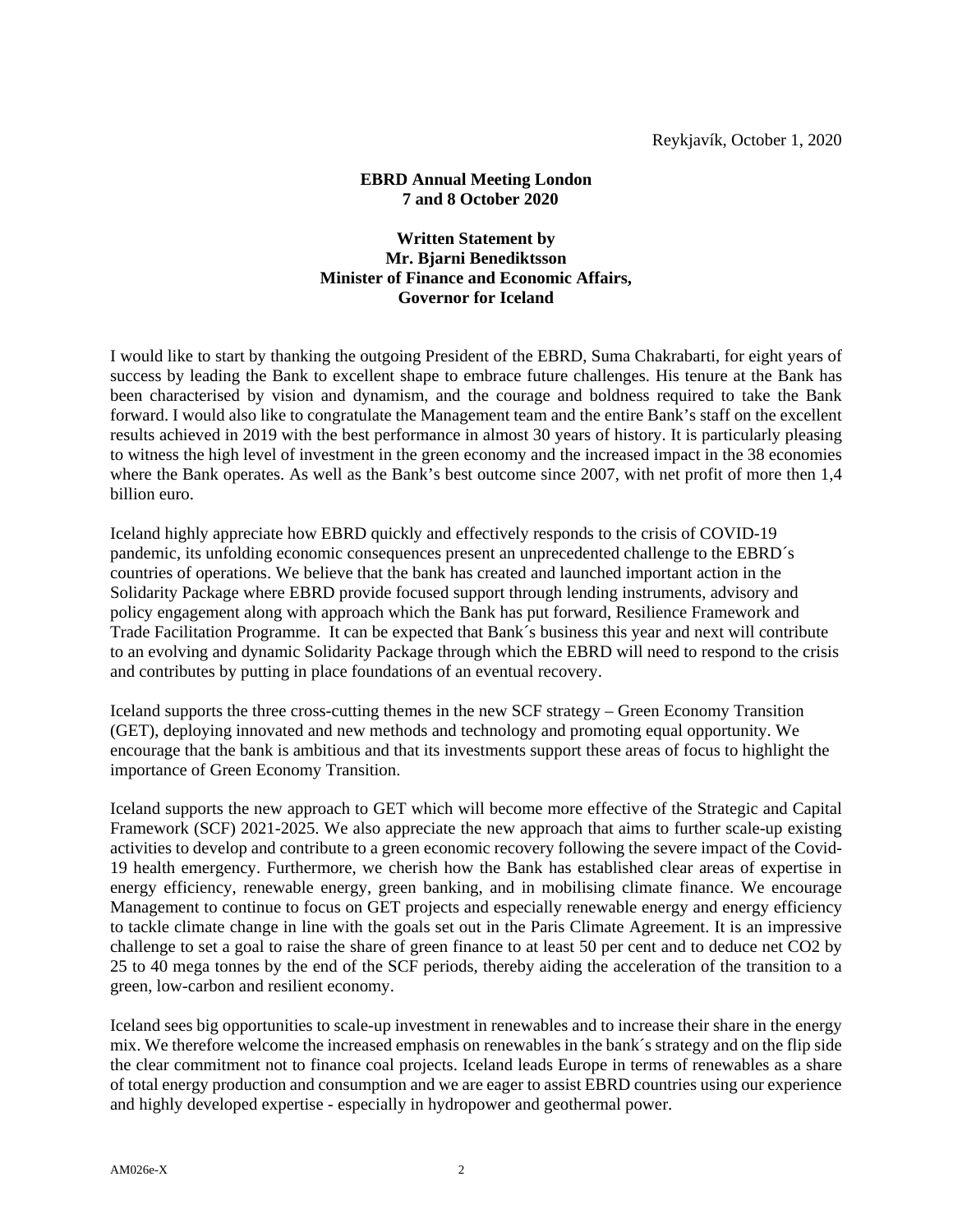## **EBRD Annual Meeting London 7 and 8 October 2020**

## **Written Statement by Mr. Bjarni Benediktsson Minister of Finance and Economic Affairs, Governor for Iceland**

I would like to start by thanking the outgoing President of the EBRD, Suma Chakrabarti, for eight years of success by leading the Bank to excellent shape to embrace future challenges. His tenure at the Bank has been characterised by vision and dynamism, and the courage and boldness required to take the Bank forward. I would also like to congratulate the Management team and the entire Bank's staff on the excellent results achieved in 2019 with the best performance in almost 30 years of history. It is particularly pleasing to witness the high level of investment in the green economy and the increased impact in the 38 economies where the Bank operates. As well as the Bank's best outcome since 2007, with net profit of more then 1,4 billion euro.

Iceland highly appreciate how EBRD quickly and effectively responds to the crisis of COVID-19 pandemic, its unfolding economic consequences present an unprecedented challenge to the EBRD´s countries of operations. We believe that the bank has created and launched important action in the Solidarity Package where EBRD provide focused support through lending instruments, advisory and policy engagement along with approach which the Bank has put forward, Resilience Framework and Trade Facilitation Programme. It can be expected that Bank´s business this year and next will contribute to an evolving and dynamic Solidarity Package through which the EBRD will need to respond to the crisis and contributes by putting in place foundations of an eventual recovery.

Iceland supports the three cross-cutting themes in the new SCF strategy – Green Economy Transition (GET), deploying innovated and new methods and technology and promoting equal opportunity. We encourage that the bank is ambitious and that its investments support these areas of focus to highlight the importance of Green Economy Transition.

Iceland supports the new approach to GET which will become more effective of the Strategic and Capital Framework (SCF) 2021-2025. We also appreciate the new approach that aims to further scale-up existing activities to develop and contribute to a green economic recovery following the severe impact of the Covid-19 health emergency. Furthermore, we cherish how the Bank has established clear areas of expertise in energy efficiency, renewable energy, green banking, and in mobilising climate finance. We encourage Management to continue to focus on GET projects and especially renewable energy and energy efficiency to tackle climate change in line with the goals set out in the Paris Climate Agreement. It is an impressive challenge to set a goal to raise the share of green finance to at least 50 per cent and to deduce net CO2 by 25 to 40 mega tonnes by the end of the SCF periods, thereby aiding the acceleration of the transition to a green, low-carbon and resilient economy.

Iceland sees big opportunities to scale-up investment in renewables and to increase their share in the energy mix. We therefore welcome the increased emphasis on renewables in the bank´s strategy and on the flip side the clear commitment not to finance coal projects. Iceland leads Europe in terms of renewables as a share of total energy production and consumption and we are eager to assist EBRD countries using our experience and highly developed expertise - especially in hydropower and geothermal power.